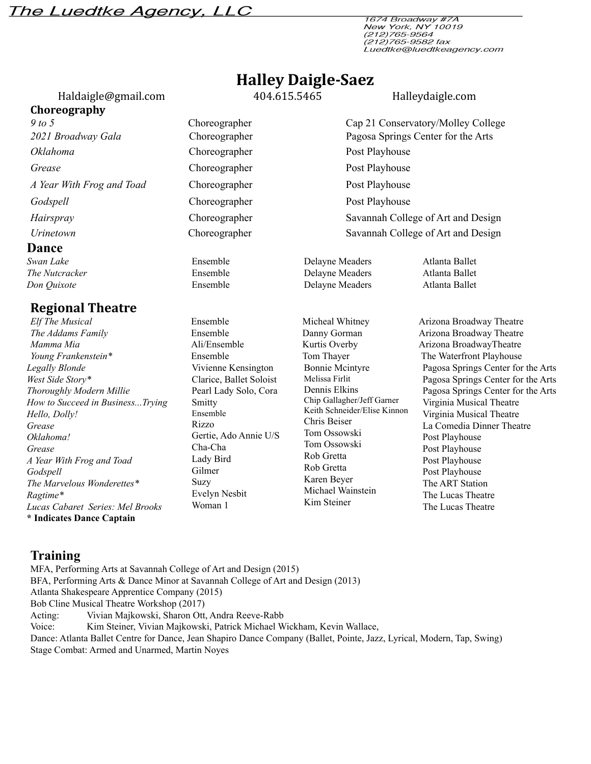## The Luedtke Agency, LLC

1674 Broadway #7A New York, NY 10019<br>(212)765-9564 (212)765-9564<br>(212)765-9582 fax Luedtke@luedtkeagency.com

# **Halley Daigle-Saez**

[Haldaigle@gmail.com](mailto:Haldaigle@gmail.com) 404.615.5465 Halleydaigle.com

**Choreography** *9 to 5* Choreographer Cap 21 Conservatory/Molley College *2021 Broadway Gala* Choreographer Pagosa Springs Center for the Arts *Oklahoma* Choreographer Post Playhouse **Grease** Choreographer Post Playhouse **Post Playhouse** *A Year With Frog and Toad* Choreographer Post Playhouse *Godspell* Choreographer Post Playhouse **Post Playhouse** *Hairspray* Choreographer Savannah College of Art and Design *Urinetown* Choreographer Savannah College of Art and Design

#### **Dance**

*The Nutcracker Don Quixote*

#### **Regional Theatre**

*Elf The Musical* Ensemble Micheal Whitney Arizona Broadway Theatre **The Addams Family** Ensemble **Ensemble** Danny Gorman Arizona Broadway Theatre *Mamma Mia* **Ali/Ensemble** Kurtis Overby Arizona BroadwayTheatre *Young Frankenstein*<sup>\*</sup> Ensemble Tom Thayer The Waterfront Playhouse *Legally Blonde West Side Story\* Thoroughly Modern Millie How to Succeed in Business...Trying Hello, Dolly! Grease Oklahoma! Grease A Year With Frog and Toad Godspell The Marvelous Wonderettes\* Ragtime\* Lucas Cabaret Series: Mel Brooks* **\* Indicates Dance Captain**

Ensemble Ensemble

Vivienne Kensington Clarice, Ballet Soloist Pearl Lady Solo, Cora Smitty Ensemble Rizzo Gertie, Ado Annie U/S Cha-Cha Lady Bird Gilmer Suzy Evelyn Nesbit Woman 1

Delayne Meaders Bonnie Mcintyre Melissa Firlit Dennis Elkins Chip Gallagher/Jeff Garner Keith Schneider/Elise Kinnon Chris Beiser Tom Ossowski Tom Ossowski Rob Gretta Rob Gretta Karen Beyer Michael Wainstein

Kim Steiner

Delayne Meaders

**Swan** *Lake* Ensemble **Ensemble** Delayne Meaders Atlanta Ballet Atlanta Ballet Atlanta Ballet

> Pagosa Springs Center for the Arts Pagosa Springs Center for the Arts Pagosa Springs Center for the Arts Virginia Musical Theatre Virginia Musical Theatre La Comedia Dinner Theatre Post Playhouse Post Playhouse Post Playhouse Post Playhouse The ART Station The Lucas Theatre The Lucas Theatre

### **Training**

MFA, Performing Arts at Savannah College of Art and Design (2015) BFA, Performing Arts & Dance Minor at Savannah College of Art and Design (2013) Atlanta Shakespeare Apprentice Company (2015) Bob Cline Musical Theatre Workshop (2017) Acting: Vivian Majkowski, Sharon Ott, Andra Reeve-Rabb Voice: Kim Steiner, Vivian Majkowski, Patrick Michael Wickham, Kevin Wallace, Dance: Atlanta Ballet Centre for Dance, Jean Shapiro Dance Company (Ballet, Pointe, Jazz, Lyrical, Modern, Tap, Swing) Stage Combat: Armed and Unarmed, Martin Noyes